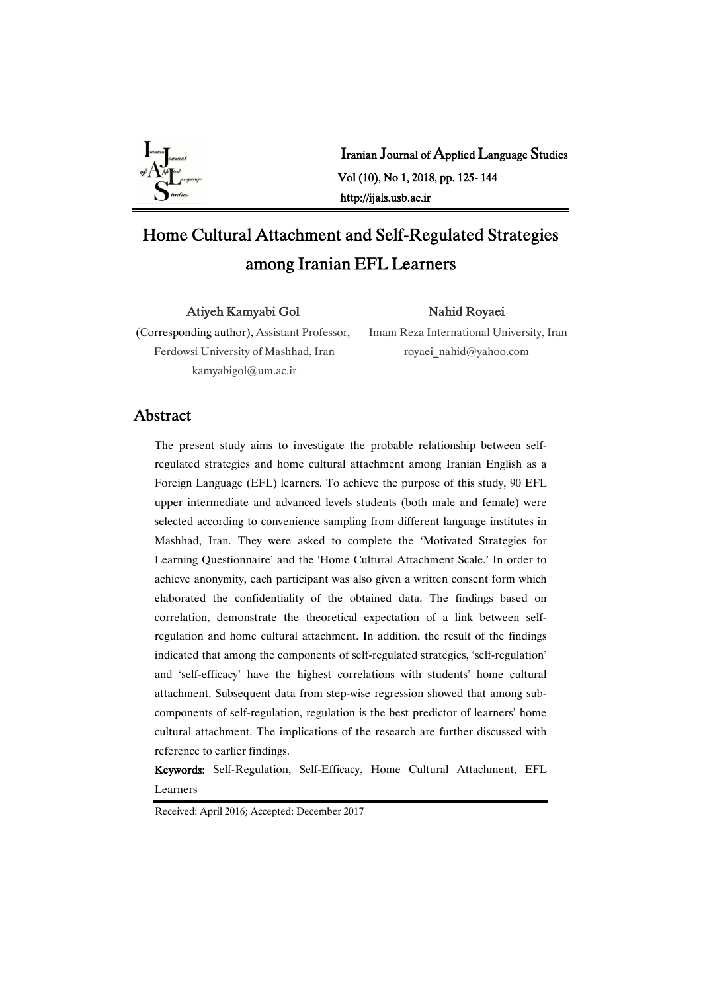

Iranian Journal of Applied Language Studies Vol(10),No1,2018,pp.125-144 http://ijals.usb.ac.ir

# Home Cultural Attachment and Self-Regulated Strategies among Iranian EFL Learners

Atiyeh Kamyabi Gol

#### Nahid Royaei

(Corresponding author), Assistant Professor, Ferdowsi University of Mashhad, Iran kamyabigol@um.ac.ir

Imam Reza International University, Iran royaei\_nahid@yahoo.com

## Abstract

The present study aims to investigate the probable relationship between selfregulated strategies and home cultural attachment among Iranian English as a Foreign Language (EFL) learners. To achieve the purpose of this study, 90 EFL upper intermediate and advanced levels students (both male and female) were selected according to convenience sampling from different language institutes in Mashhad, Iran. They were asked to complete the 'Motivated Strategies for Learning Questionnaire' and the 'Home Cultural Attachment Scale.' In order to achieve anonymity, each participant was also given a written consent form which elaborated the confidentiality of the obtained data. The findings based on correlation, demonstrate the theoretical expectation of a link between selfregulation and home cultural attachment. In addition, the result of the findings indicated that among the components of self-regulated strategies, 'self-regulation' and 'self-efficacy' have the highest correlations with students' home cultural attachment. Subsequent data from step-wise regression showed that among subcomponents of self-regulation, regulation is the best predictor of learners' home cultural attachment. The implications of the research are further discussed with reference to earlier findings.

Keywords: Self-Regulation, Self-Efficacy, Home Cultural Attachment, EFL Learners

Received: April 2016; Accepted: December 2017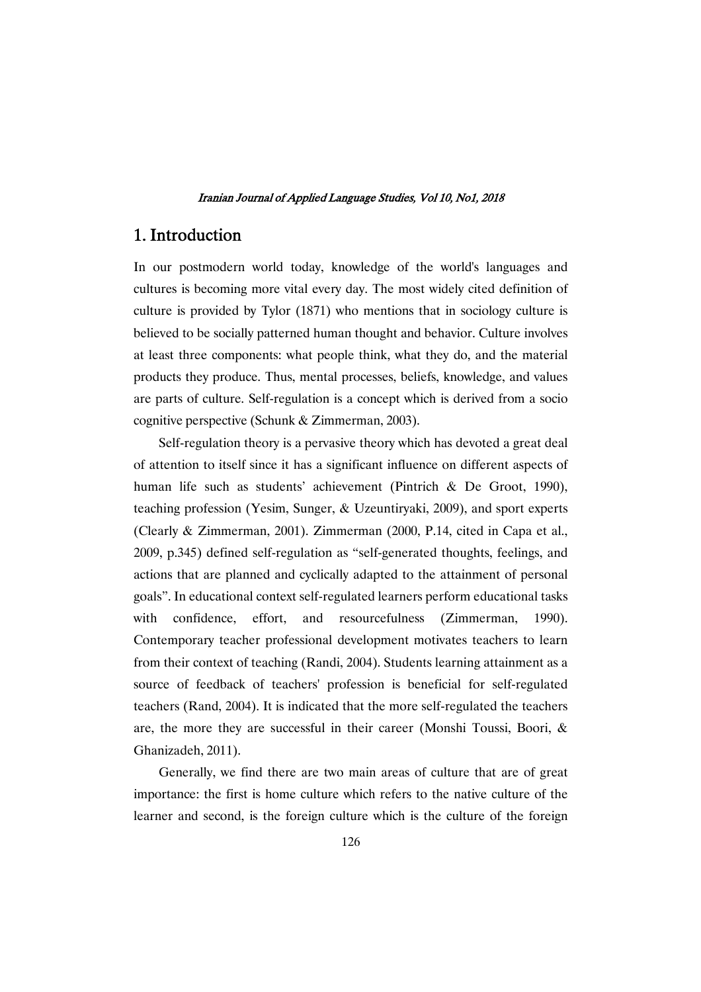# 1.Introduction

In our postmodern world today, knowledge of the world's languages and cultures is becoming more vital every day. The most widely cited definition of culture is provided by Tylor (1871) who mentions that in sociology culture is believed to be socially patterned human thought and behavior. Culture involves at least three components: what people think, what they do, and the material products they produce. Thus, mental processes, beliefs, knowledge, and values are parts of culture. Self-regulation is a concept which is derived from a socio cognitive perspective (Schunk & Zimmerman, 2003).

Self-regulation theory is a pervasive theory which has devoted a great deal of attention to itself since it has a significant influence on different aspects of human life such as students' achievement (Pintrich & De Groot, 1990), teaching profession (Yesim, Sunger, & Uzeuntiryaki, 2009), and sport experts (Clearly & Zimmerman, 2001). Zimmerman (2000, P.14, cited in Capa et al., 2009, p.345) defined self-regulation as "self-generated thoughts, feelings, and actions that are planned and cyclically adapted to the attainment of personal goals". In educational context self-regulated learners perform educational tasks with confidence, effort, and resourcefulness (Zimmerman, 1990). Contemporary teacher professional development motivates teachers to learn from their context of teaching (Randi, 2004). Students learning attainment as a source of feedback of teachers' profession is beneficial for self-regulated teachers (Rand, 2004). It is indicated that the more self-regulated the teachers are, the more they are successful in their career (Monshi Toussi, Boori, & Ghanizadeh, 2011).

Generally, we find there are two main areas of culture that are of great importance: the first is home culture which refers to the native culture of the learner and second, is the foreign culture which is the culture of the foreign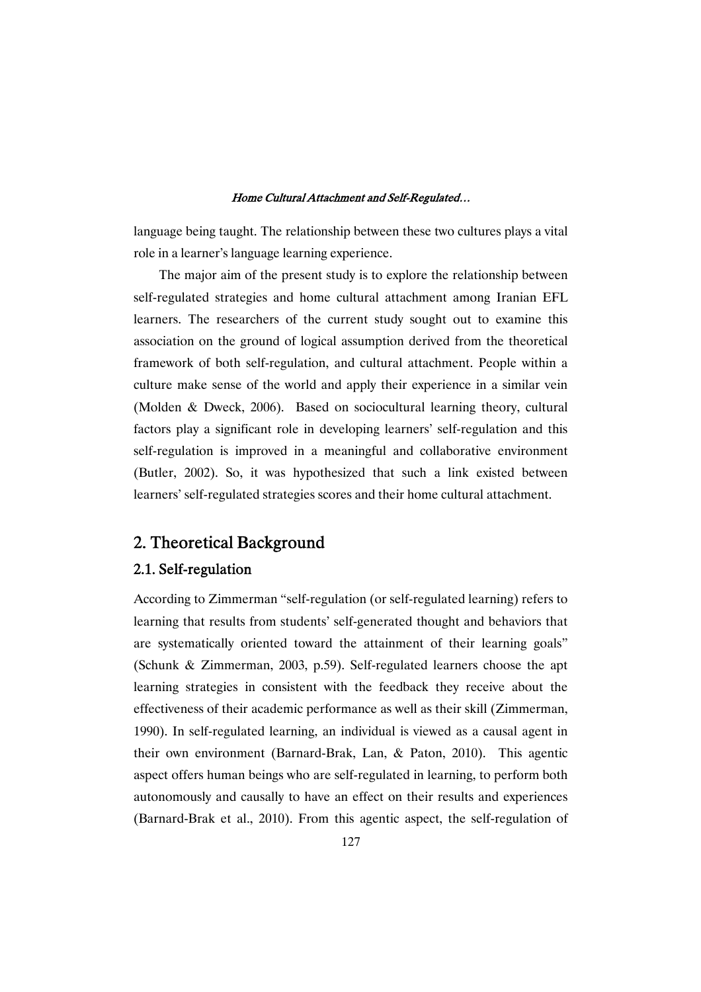language being taught. The relationship between these two cultures plays a vital role in a learner's language learning experience.

The major aim of the present study is to explore the relationship between self-regulated strategies and home cultural attachment among Iranian EFL learners. The researchers of the current study sought out to examine this association on the ground of logical assumption derived from the theoretical framework of both self-regulation, and cultural attachment. People within a culture make sense of the world and apply their experience in a similar vein (Molden & Dweck, 2006). Based on sociocultural learning theory, cultural factors play a significant role in developing learners' self-regulation and this self-regulation is improved in a meaningful and collaborative environment (Butler, 2002). So, it was hypothesized that such a link existed between learners' self-regulated strategies scores and their home cultural attachment.

# 2. Theoretical Background

### 2.1.Self-regulation

According to Zimmerman "self-regulation (or self-regulated learning) refers to learning that results from students' self-generated thought and behaviors that are systematically oriented toward the attainment of their learning goals" (Schunk & Zimmerman, 2003, p.59). Self-regulated learners choose the apt learning strategies in consistent with the feedback they receive about the effectiveness of their academic performance as well as their skill (Zimmerman, 1990). In self-regulated learning, an individual is viewed as a causal agent in their own environment (Barnard-Brak, Lan, & Paton, 2010). This agentic aspect offers human beings who are self-regulated in learning, to perform both autonomously and causally to have an effect on their results and experiences (Barnard-Brak et al., 2010). From this agentic aspect, the self-regulation of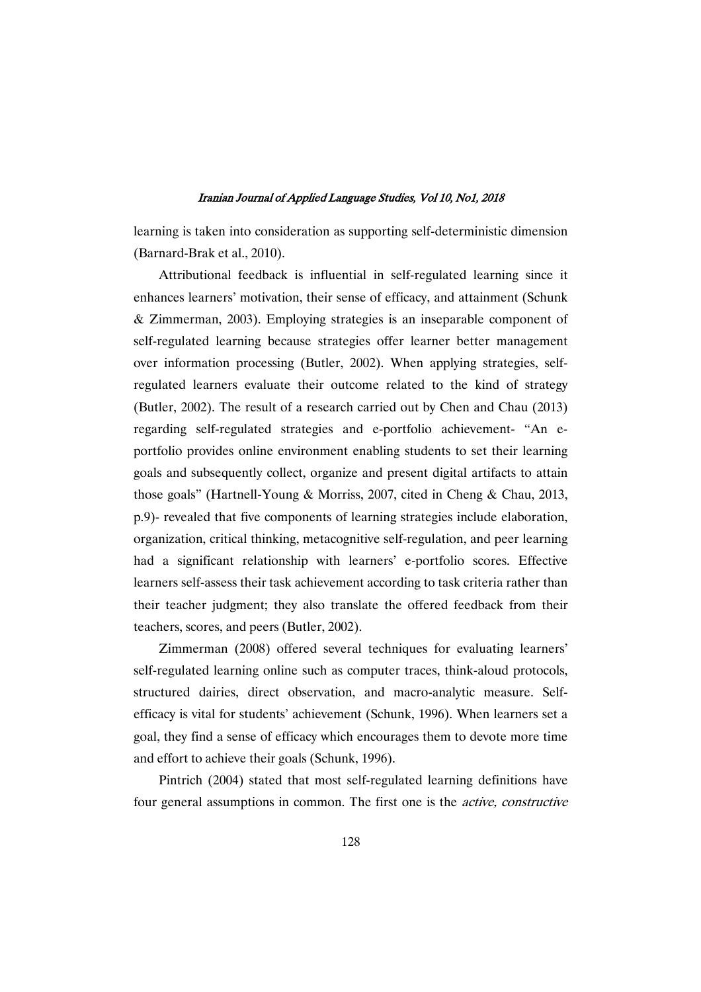learning is taken into consideration as supporting self-deterministic dimension (Barnard-Brak et al., 2010).

Attributional feedback is influential in self-regulated learning since it enhances learners' motivation, their sense of efficacy, and attainment (Schunk & Zimmerman, 2003). Employing strategies is an inseparable component of self-regulated learning because strategies offer learner better management over information processing (Butler, 2002). When applying strategies, selfregulated learners evaluate their outcome related to the kind of strategy (Butler, 2002). The result of a research carried out by Chen and Chau (2013) regarding self-regulated strategies and e-portfolio achievement- "An eportfolio provides online environment enabling students to set their learning goals and subsequently collect, organize and present digital artifacts to attain those goals" (Hartnell-Young & Morriss, 2007, cited in Cheng & Chau, 2013, p.9)- revealed that five components of learning strategies include elaboration, organization, critical thinking, metacognitive self-regulation, and peer learning had a significant relationship with learners' e-portfolio scores. Effective learners self-assess their task achievement according to task criteria rather than their teacher judgment; they also translate the offered feedback from their teachers, scores, and peers (Butler, 2002).

Zimmerman (2008) offered several techniques for evaluating learners' self-regulated learning online such as computer traces, think-aloud protocols, structured dairies, direct observation, and macro-analytic measure. Selfefficacy is vital for students' achievement (Schunk, 1996). When learners set a goal, they find a sense of efficacy which encourages them to devote more time and effort to achieve their goals (Schunk, 1996).

Pintrich (2004) stated that most self-regulated learning definitions have four general assumptions in common. The first one is the active, constructive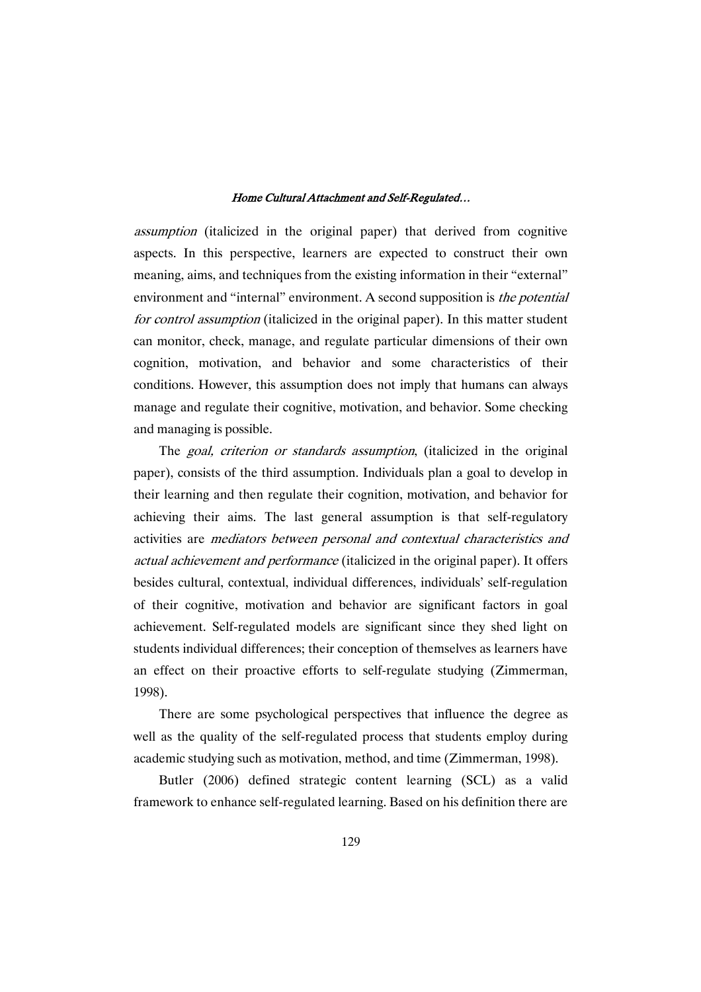assumption (italicized in the original paper) that derived from cognitive aspects. In this perspective, learners are expected to construct their own meaning, aims, and techniques from the existing information in their "external" environment and "internal" environment. A second supposition is the potential for control assumption (italicized in the original paper). In this matter student can monitor, check, manage, and regulate particular dimensions of their own cognition, motivation, and behavior and some characteristics of their conditions. However, this assumption does not imply that humans can always manage and regulate their cognitive, motivation, and behavior. Some checking and managing is possible.

The goal, criterion or standards assumption, (italicized in the original paper), consists of the third assumption. Individuals plan a goal to develop in their learning and then regulate their cognition, motivation, and behavior for achieving their aims. The last general assumption is that self-regulatory activities are mediators between personal and contextual characteristics and actual achievement and performance (italicized in the original paper). It offers besides cultural, contextual, individual differences, individuals' self-regulation of their cognitive, motivation and behavior are significant factors in goal achievement. Self-regulated models are significant since they shed light on students individual differences; their conception of themselves as learners have an effect on their proactive efforts to self-regulate studying (Zimmerman, 1998).

There are some psychological perspectives that influence the degree as well as the quality of the self-regulated process that students employ during academic studying such as motivation, method, and time (Zimmerman, 1998).

Butler (2006) defined strategic content learning (SCL) as a valid framework to enhance self-regulated learning. Based on his definition there are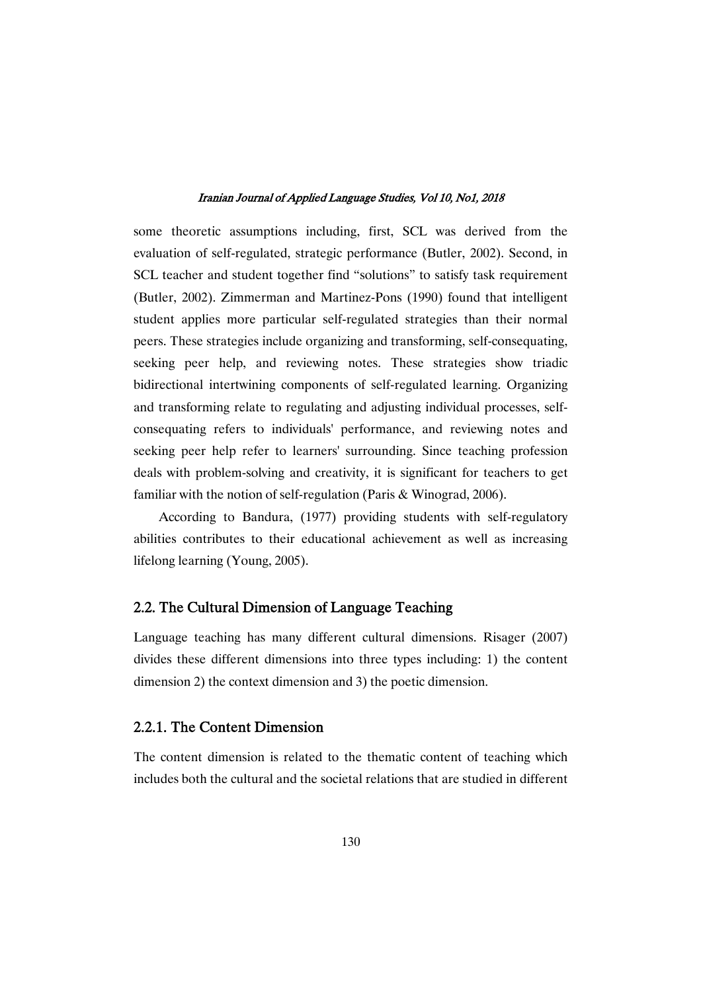some theoretic assumptions including, first, SCL was derived from the evaluation of self-regulated, strategic performance (Butler, 2002). Second, in SCL teacher and student together find "solutions" to satisfy task requirement (Butler, 2002). Zimmerman and Martinez-Pons (1990) found that intelligent student applies more particular self-regulated strategies than their normal peers. These strategies include organizing and transforming, self-consequating, seeking peer help, and reviewing notes. These strategies show triadic bidirectional intertwining components of self-regulated learning. Organizing and transforming relate to regulating and adjusting individual processes, selfconsequating refers to individuals' performance, and reviewing notes and seeking peer help refer to learners' surrounding. Since teaching profession deals with problem-solving and creativity, it is significant for teachers to get familiar with the notion of self-regulation (Paris & Winograd, 2006).

According to Bandura, (1977) providing students with self-regulatory abilities contributes to their educational achievement as well as increasing lifelong learning (Young, 2005).

### 2.2. The Cultural Dimension of Language Teaching

Language teaching has many different cultural dimensions. Risager (2007) divides these different dimensions into three types including: 1) the content dimension 2) the context dimension and 3) the poetic dimension.

### 2.2.1. The Content Dimension

The content dimension is related to the thematic content of teaching which includes both the cultural and the societal relations that are studied in different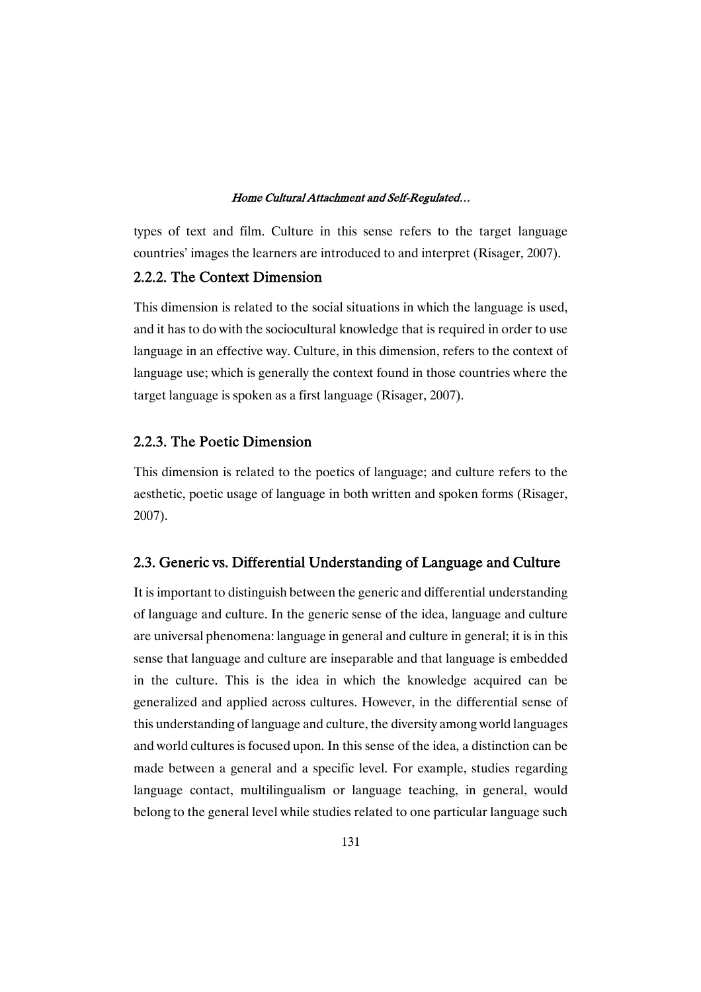types of text and film. Culture in this sense refers to the target language countries' images the learners are introduced to and interpret (Risager, 2007).

# 2.2.2. The Context Dimension

This dimension is related to the social situations in which the language is used, and it has to do with the sociocultural knowledge that is required in order to use language in an effective way. Culture, in this dimension, refers to the context of language use; which is generally the context found in those countries where the target language is spoken as a first language (Risager, 2007).

### 2.2.3. The Poetic Dimension

This dimension is related to the poetics of language; and culture refers to the aesthetic, poetic usage of language in both written and spoken forms (Risager, 2007).

### 2.3. Generic vs. Differential Understanding of Language and Culture

It is important to distinguish between the generic and differential understanding of language and culture. In the generic sense of the idea, language and culture are universal phenomena: language in general and culture in general; it is in this sense that language and culture are inseparable and that language is embedded in the culture. This is the idea in which the knowledge acquired can be generalized and applied across cultures. However, in the differential sense of this understanding of language and culture, the diversity among world languages and world cultures is focused upon. In this sense of the idea, a distinction can be made between a general and a specific level. For example, studies regarding language contact, multilingualism or language teaching, in general, would belong to the general level while studies related to one particular language such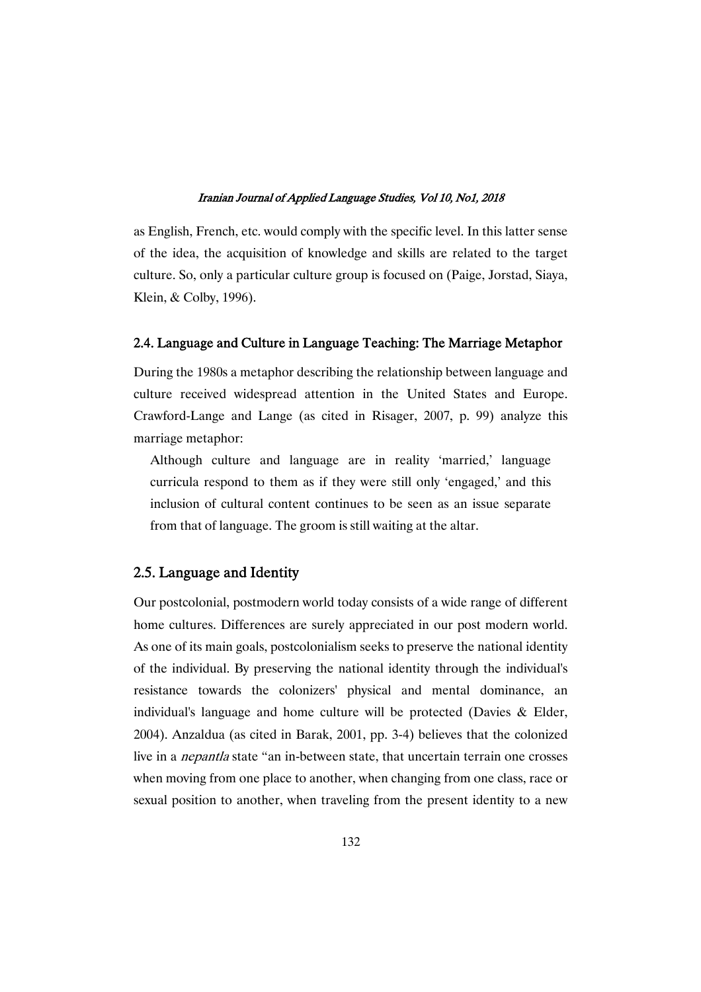as English, French, etc. would comply with the specific level. In this latter sense of the idea, the acquisition of knowledge and skills are related to the target culture. So, only a particular culture group is focused on (Paige, Jorstad, Siaya, Klein, & Colby, 1996).

### 2.4. Language and Culture in Language Teaching: The Marriage Metaphor

During the 1980s a metaphor describing the relationship between language and culture received widespread attention in the United States and Europe. Crawford-Lange and Lange (as cited in Risager, 2007, p. 99) analyze this marriage metaphor:

Although culture and language are in reality 'married,' language curricula respond to them as if they were still only 'engaged,' and this inclusion of cultural content continues to be seen as an issue separate from that of language. The groom is still waiting at the altar.

### 2.5. Language and Identity

Our postcolonial, postmodern world today consists of a wide range of different home cultures. Differences are surely appreciated in our post modern world. As one of its main goals, postcolonialism seeks to preserve the national identity of the individual. By preserving the national identity through the individual's resistance towards the colonizers' physical and mental dominance, an individual's language and home culture will be protected (Davies & Elder, 2004). Anzaldua (as cited in Barak, 2001, pp. 3-4) believes that the colonized live in a nepantla state "an in-between state, that uncertain terrain one crosses when moving from one place to another, when changing from one class, race or sexual position to another, when traveling from the present identity to a new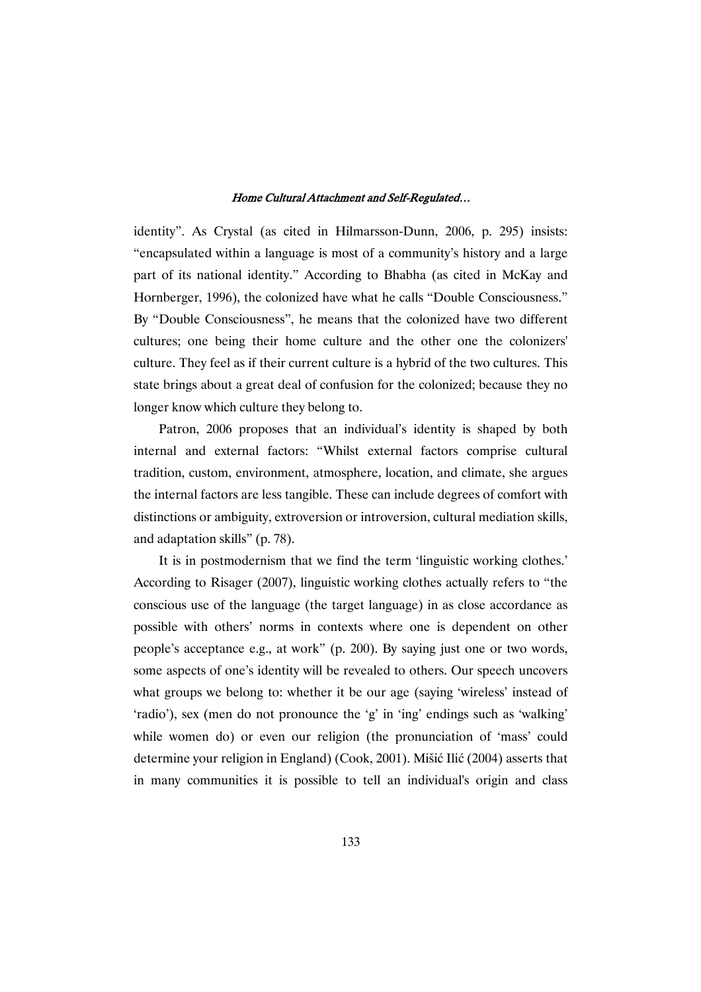identity". As Crystal (as cited in Hilmarsson-Dunn, 2006, p. 295) insists: "encapsulated within a language is most of a community's history and a large part of its national identity." According to Bhabha (as cited in McKay and Hornberger, 1996), the colonized have what he calls "Double Consciousness." By "Double Consciousness", he means that the colonized have two different cultures; one being their home culture and the other one the colonizers' culture. They feel as if their current culture is a hybrid of the two cultures. This state brings about a great deal of confusion for the colonized; because they no longer know which culture they belong to.

Patron, 2006 proposes that an individual's identity is shaped by both internal and external factors: "Whilst external factors comprise cultural tradition, custom, environment, atmosphere, location, and climate, she argues the internal factors are less tangible. These can include degrees of comfort with distinctions or ambiguity, extroversion or introversion, cultural mediation skills, and adaptation skills" (p. 78).

It is in postmodernism that we find the term 'linguistic working clothes.' According to Risager (2007), linguistic working clothes actually refers to "the conscious use of the language (the target language) in as close accordance as possible with others' norms in contexts where one is dependent on other people's acceptance e.g., at work" (p. 200). By saying just one or two words, some aspects of one's identity will be revealed to others. Our speech uncovers what groups we belong to: whether it be our age (saying 'wireless' instead of 'radio'), sex (men do not pronounce the 'g' in 'ing' endings such as 'walking' while women do) or even our religion (the pronunciation of 'mass' could determine your religion in England) (Cook, 2001). Mišić Ilić (2004) asserts that in many communities it is possible to tell an individual's origin and class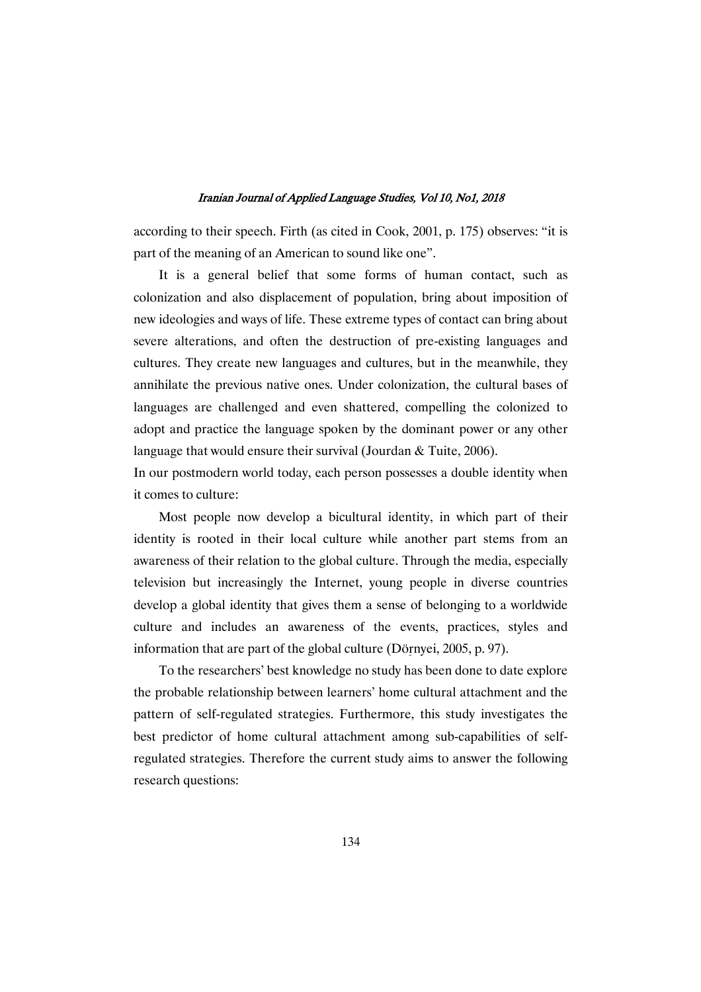according to their speech. Firth (as cited in Cook, 2001, p. 175) observes: "it is part of the meaning of an American to sound like one".

It is a general belief that some forms of human contact, such as colonization and also displacement of population, bring about imposition of new ideologies and ways of life. These extreme types of contact can bring about severe alterations, and often the destruction of pre-existing languages and cultures. They create new languages and cultures, but in the meanwhile, they annihilate the previous native ones. Under colonization, the cultural bases of languages are challenged and even shattered, compelling the colonized to adopt and practice the language spoken by the dominant power or any other language that would ensure their survival (Jourdan & Tuite, 2006).

In our postmodern world today, each person possesses a double identity when it comes to culture:

Most people now develop a bicultural identity, in which part of their identity is rooted in their local culture while another part stems from an awareness of their relation to the global culture. Through the media, especially television but increasingly the Internet, young people in diverse countries develop a global identity that gives them a sense of belonging to a worldwide culture and includes an awareness of the events, practices, styles and information that are part of the global culture (Dörnyei, 2005, p. 97).

To the researchers' best knowledge no study has been done to date explore the probable relationship between learners' home cultural attachment and the pattern of self-regulated strategies. Furthermore, this study investigates the best predictor of home cultural attachment among sub-capabilities of selfregulated strategies. Therefore the current study aims to answer the following research questions: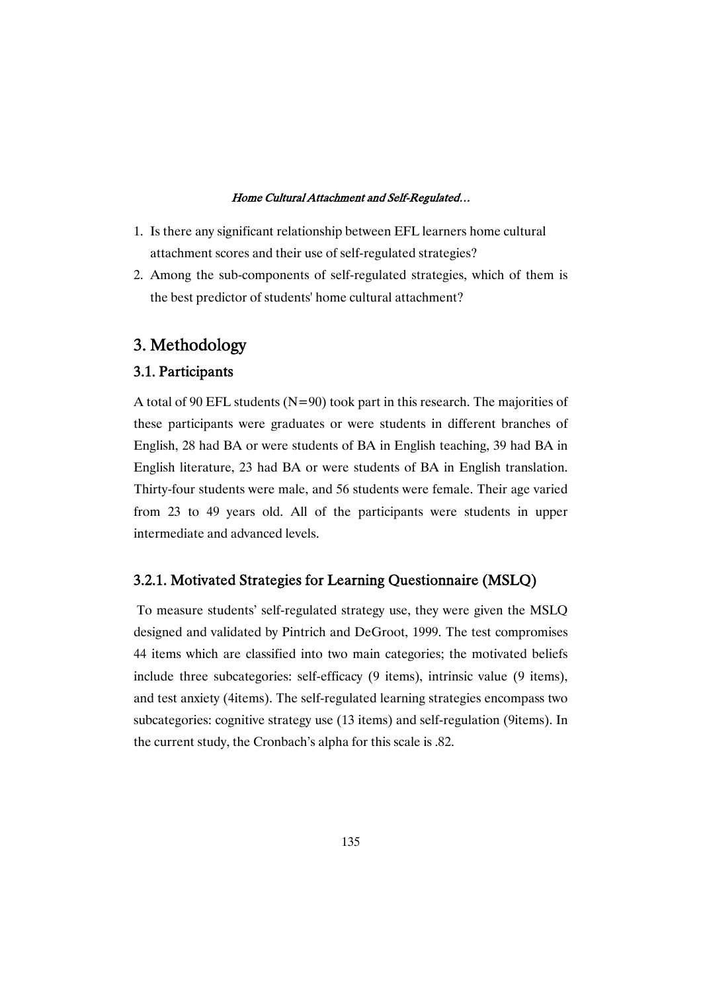- 1. Is there any significant relationship between EFL learners home cultural attachment scores and their use of self-regulated strategies?
- 2. Among the sub-components of self-regulated strategies, which of them is the best predictor of students' home cultural attachment?

# 3.Methodology

# 3.1.Participants

A total of 90 EFL students ( $N=90$ ) took part in this research. The majorities of these participants were graduates or were students in different branches of English, 28 had BA or were students of BA in English teaching, 39 had BA in English literature, 23 had BA or were students of BA in English translation. Thirty-four students were male, and 56 students were female. Their age varied from 23 to 49 years old. All of the participants were students in upper intermediate and advanced levels.

### 3.2.1. Motivated Strategies for Learning Questionnaire (MSLQ)

To measure students' self-regulated strategy use, they were given the MSLQ designed and validated by Pintrich and DeGroot, 1999. The test compromises 44 items which are classified into two main categories; the motivated beliefs include three subcategories: self-efficacy (9 items), intrinsic value (9 items), and test anxiety (4items). The self-regulated learning strategies encompass two subcategories: cognitive strategy use (13 items) and self-regulation (9items). In the current study, the Cronbach's alpha for this scale is .82.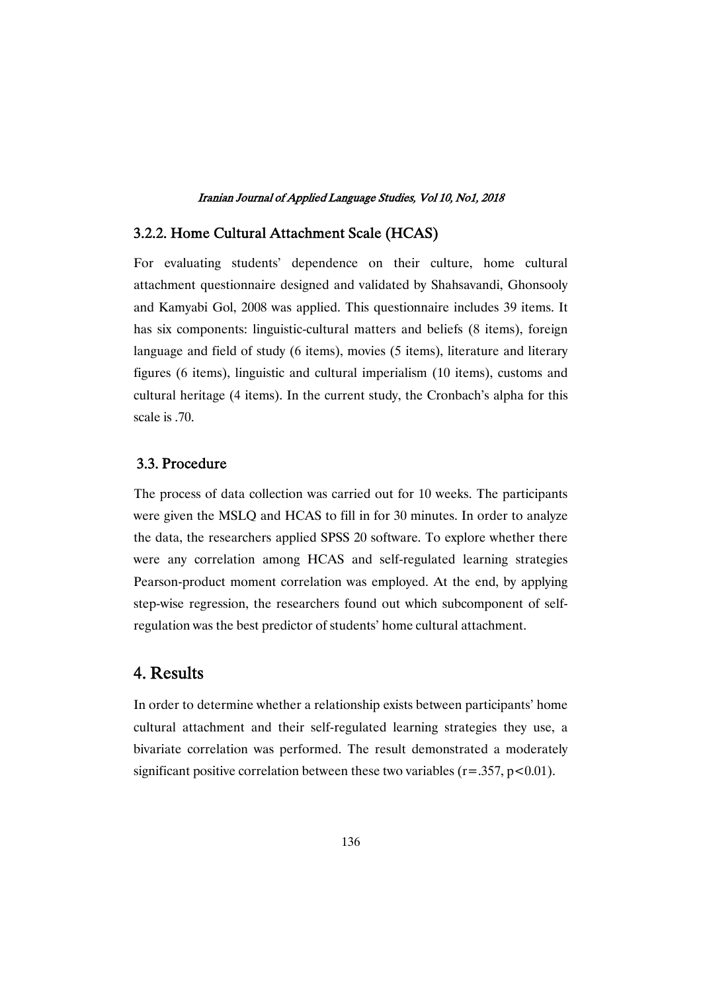# 3.2.2. Home Cultural Attachment Scale (HCAS)

For evaluating students' dependence on their culture, home cultural attachment questionnaire designed and validated by Shahsavandi, Ghonsooly and Kamyabi Gol, 2008 was applied. This questionnaire includes 39 items. It has six components: linguistic-cultural matters and beliefs (8 items), foreign language and field of study (6 items), movies (5 items), literature and literary figures (6 items), linguistic and cultural imperialism (10 items), customs and cultural heritage (4 items). In the current study, the Cronbach's alpha for this scale is .70.

# 3.3.Procedure

The process of data collection was carried out for 10 weeks. The participants were given the MSLQ and HCAS to fill in for 30 minutes. In order to analyze the data, the researchers applied SPSS 20 software. To explore whether there were any correlation among HCAS and self-regulated learning strategies Pearson-product moment correlation was employed. At the end, by applying step-wise regression, the researchers found out which subcomponent of selfregulation was the best predictor of students' home cultural attachment.

# 4.Results

In order to determine whether a relationship exists between participants' home cultural attachment and their self-regulated learning strategies they use, a bivariate correlation was performed. The result demonstrated a moderately significant positive correlation between these two variables  $(r=.357, p<0.01)$ .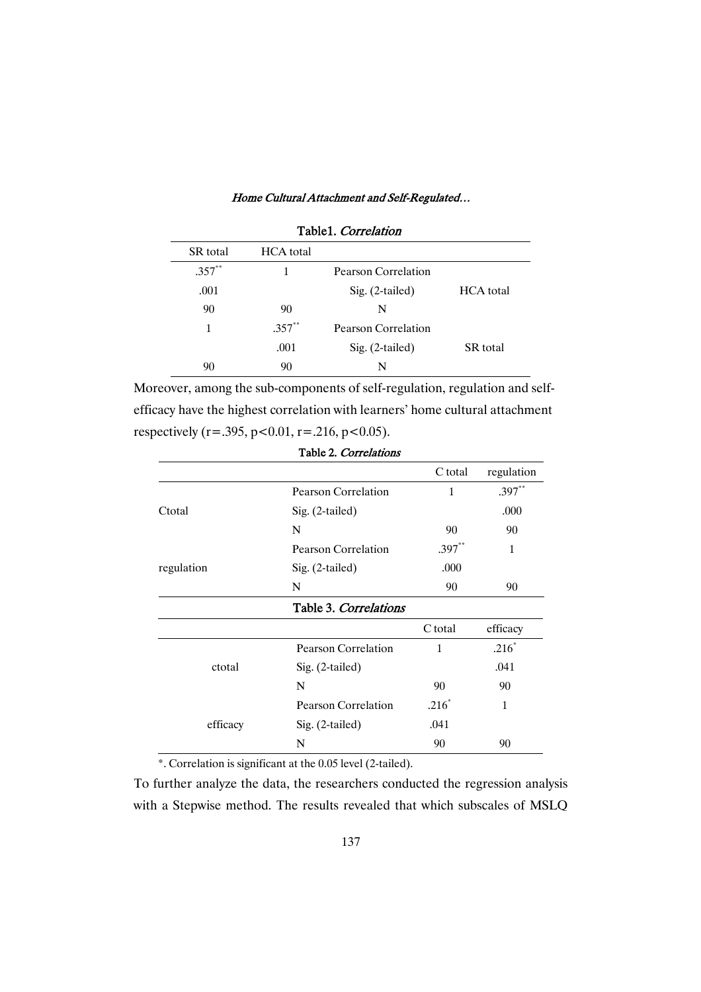| Table1. Correlation |                  |                     |                  |  |  |  |
|---------------------|------------------|---------------------|------------------|--|--|--|
| <b>SR</b> total     | <b>HCA</b> total |                     |                  |  |  |  |
| $.357**$            |                  | Pearson Correlation |                  |  |  |  |
| .001                |                  | $Sig. (2-tailed)$   | <b>HCA</b> total |  |  |  |
| 90                  | 90               | N                   |                  |  |  |  |
| 1                   | $.357**$         | Pearson Correlation |                  |  |  |  |
|                     | .001             | $Sig. (2-tailed)$   | <b>SR</b> total  |  |  |  |
| 90                  | 90               | N                   |                  |  |  |  |

Moreover, among the sub-components of self-regulation, regulation and selfefficacy have the highest correlation with learners' home cultural attachment respectively (r=.395, p<0.01, r=.216, p<0.05).

|                       | C total      | regulation |
|-----------------------|--------------|------------|
| Pearson Correlation   | 1            | $.397**$   |
| $Sig. (2-tailed)$     |              | .000       |
| N                     | 90           | 90         |
| Pearson Correlation   | $.397**$     | 1          |
| Sig. (2-tailed)       | .000         |            |
| N                     | 90           | 90         |
| Table 3. Correlations |              |            |
|                       | C total      | efficacy   |
| Pearson Correlation   | $\mathbf{1}$ | $.216*$    |
| $Sig. (2-tailed)$     |              | .041       |
| N                     | 90           | 90         |
| Pearson Correlation   | $.216*$      | 1          |
| Sig. (2-tailed)       | .041         |            |
| N                     | 90           | 90         |
|                       |              |            |

Table2. Correlations

\*. Correlation is significant at the 0.05 level (2-tailed).

To further analyze the data, the researchers conducted the regression analysis with a Stepwise method. The results revealed that which subscales of MSLQ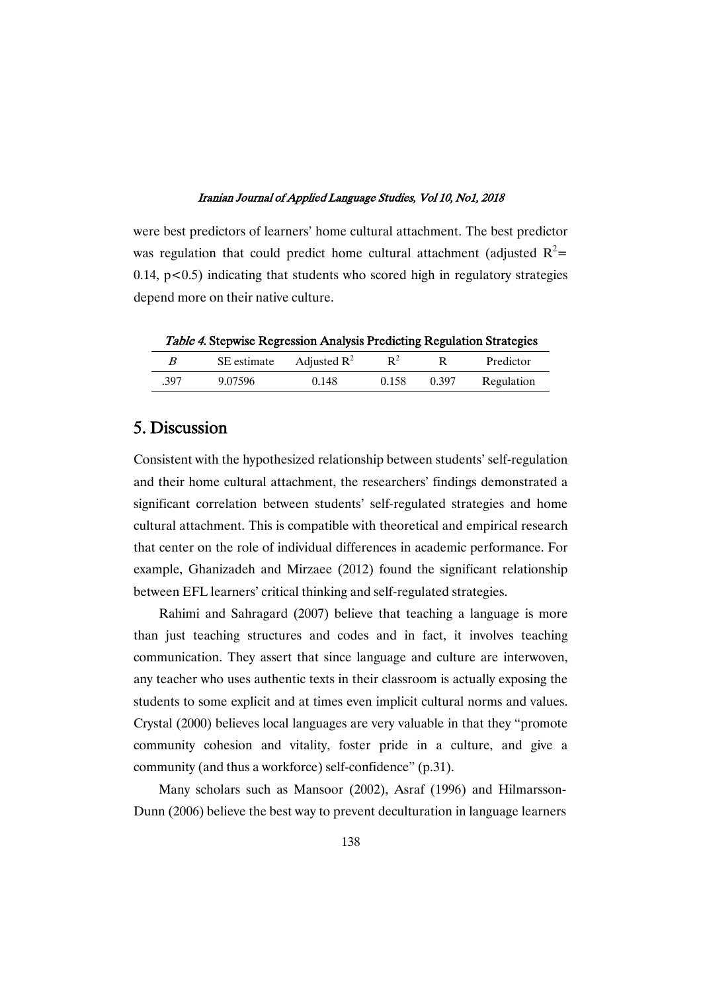were best predictors of learners' home cultural attachment. The best predictor was regulation that could predict home cultural attachment (adjusted  $R^2$ =  $0.14$ ,  $p < 0.5$ ) indicating that students who scored high in regulatory strategies depend more on their native culture.

Table 4. Stepwise Regression Analysis Predicting Regulation Strategies

|      | SE estimate | Adjusted $\mathbb{R}^2$ | R٠    |       | Predictor  |
|------|-------------|-------------------------|-------|-------|------------|
| .397 | 9.07596     | 0.148                   | 0.158 | 0.397 | Regulation |

# 5.Discussion

Consistent with the hypothesized relationship between students' self-regulation and their home cultural attachment, the researchers' findings demonstrated a significant correlation between students' self-regulated strategies and home cultural attachment. This is compatible with theoretical and empirical research that center on the role of individual differences in academic performance. For example, Ghanizadeh and Mirzaee (2012) found the significant relationship between EFL learners' critical thinking and self-regulated strategies.

Rahimi and Sahragard (2007) believe that teaching a language is more than just teaching structures and codes and in fact, it involves teaching communication. They assert that since language and culture are interwoven, any teacher who uses authentic texts in their classroom is actually exposing the students to some explicit and at times even implicit cultural norms and values. Crystal (2000) believes local languages are very valuable in that they "promote community cohesion and vitality, foster pride in a culture, and give a community (and thus a workforce) self-confidence" (p.31).

Many scholars such as Mansoor (2002), Asraf (1996) and Hilmarsson-Dunn (2006) believe the best way to prevent deculturation in language learners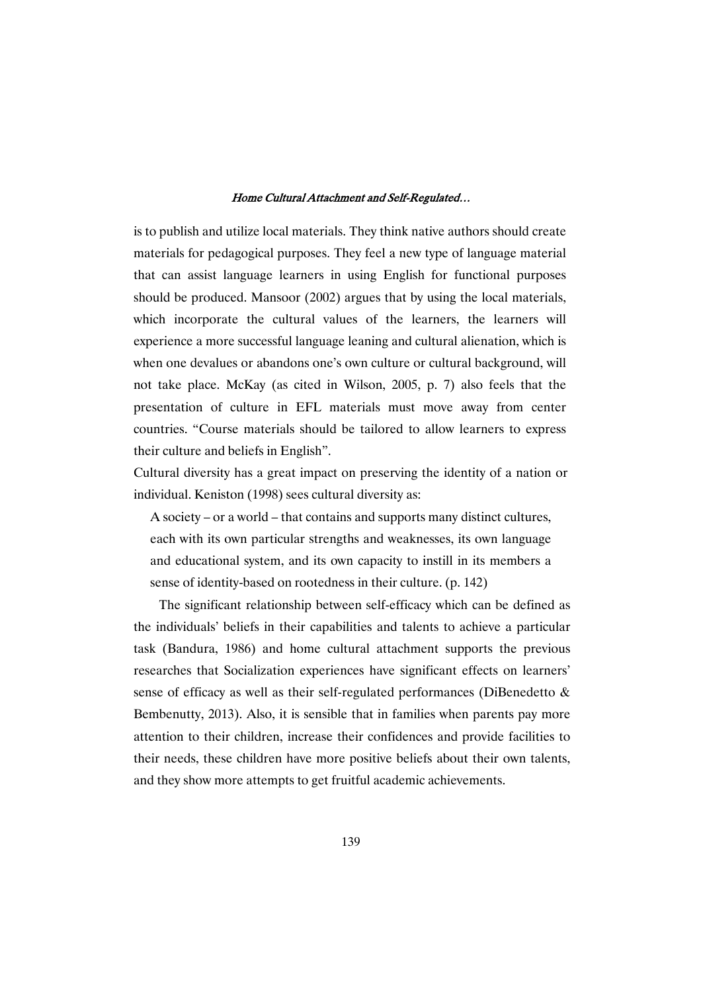is to publish and utilize local materials. They think native authors should create materials for pedagogical purposes. They feel a new type of language material that can assist language learners in using English for functional purposes should be produced. Mansoor (2002) argues that by using the local materials, which incorporate the cultural values of the learners, the learners will experience a more successful language leaning and cultural alienation, which is when one devalues or abandons one's own culture or cultural background, will not take place. McKay (as cited in Wilson, 2005, p. 7) also feels that the presentation of culture in EFL materials must move away from center countries. "Course materials should be tailored to allow learners to express their culture and beliefs in English".

Cultural diversity has a great impact on preserving the identity of a nation or individual. Keniston (1998) sees cultural diversity as:

A society – or a world – that contains and supports many distinct cultures, each with its own particular strengths and weaknesses, its own language and educational system, and its own capacity to instill in its members a sense of identity-based on rootedness in their culture. (p. 142)

The significant relationship between self-efficacy which can be defined as the individuals' beliefs in their capabilities and talents to achieve a particular task (Bandura, 1986) and home cultural attachment supports the previous researches that Socialization experiences have significant effects on learners' sense of efficacy as well as their self-regulated performances (DiBenedetto & Bembenutty, 2013). Also, it is sensible that in families when parents pay more attention to their children, increase their confidences and provide facilities to their needs, these children have more positive beliefs about their own talents, and they show more attempts to get fruitful academic achievements.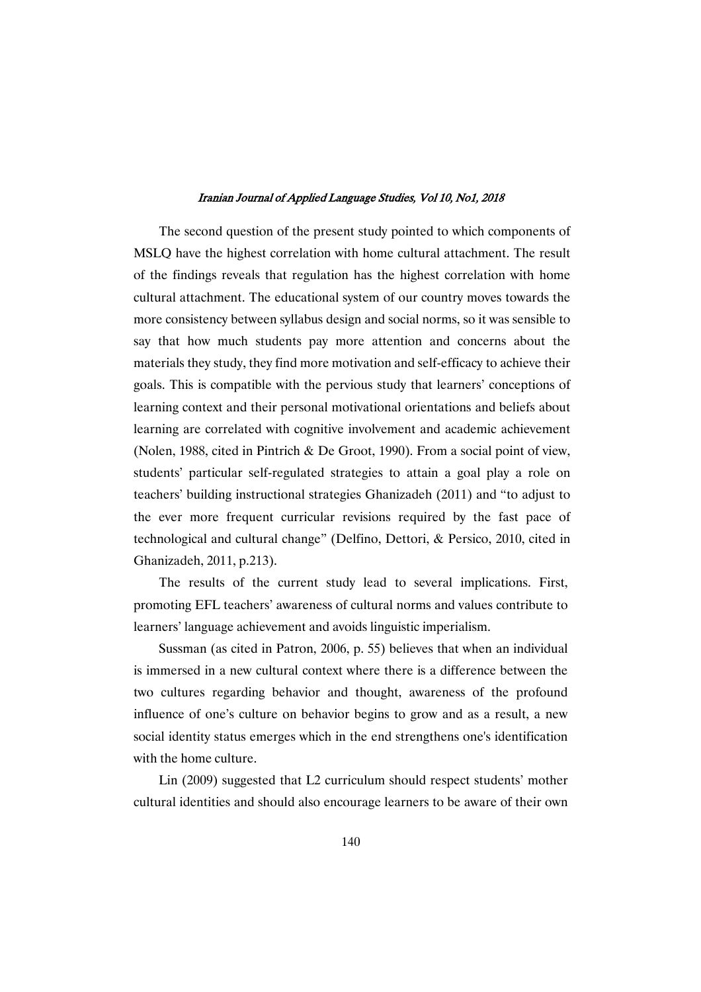The second question of the present study pointed to which components of MSLQ have the highest correlation with home cultural attachment. The result of the findings reveals that regulation has the highest correlation with home cultural attachment. The educational system of our country moves towards the more consistency between syllabus design and social norms, so it was sensible to say that how much students pay more attention and concerns about the materials they study, they find more motivation and self-efficacy to achieve their goals. This is compatible with the pervious study that learners' conceptions of learning context and their personal motivational orientations and beliefs about learning are correlated with cognitive involvement and academic achievement (Nolen, 1988, cited in Pintrich & De Groot, 1990). From a social point of view, students' particular self-regulated strategies to attain a goal play a role on teachers' building instructional strategies Ghanizadeh (2011) and "to adjust to the ever more frequent curricular revisions required by the fast pace of technological and cultural change" (Delfino, Dettori, & Persico, 2010, cited in Ghanizadeh, 2011, p.213).

The results of the current study lead to several implications. First, promoting EFL teachers' awareness of cultural norms and values contribute to learners' language achievement and avoids linguistic imperialism.

Sussman (as cited in Patron, 2006, p. 55) believes that when an individual is immersed in a new cultural context where there is a difference between the two cultures regarding behavior and thought, awareness of the profound influence of one's culture on behavior begins to grow and as a result, a new social identity status emerges which in the end strengthens one's identification with the home culture.

Lin (2009) suggested that L2 curriculum should respect students' mother cultural identities and should also encourage learners to be aware of their own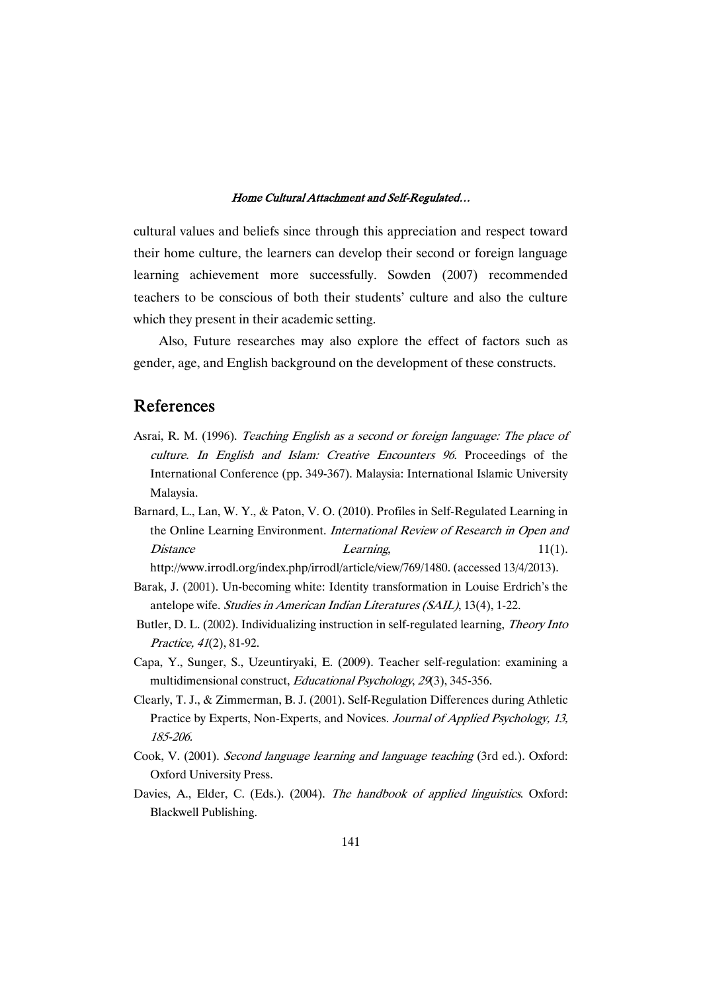cultural values and beliefs since through this appreciation and respect toward their home culture, the learners can develop their second or foreign language learning achievement more successfully. Sowden (2007) recommended teachers to be conscious of both their students' culture and also the culture which they present in their academic setting.

Also, Future researches may also explore the effect of factors such as gender, age, and English background on the development of these constructs.

# References

- Asrai, R. M. (1996). Teaching English as <sup>a</sup> second or foreign language: The place of culture. In English and Islam: Creative Encounters 96. Proceedings of the International Conference (pp. 349-367). Malaysia: International Islamic University Malaysia.
- Barnard, L., Lan, W. Y., & Paton, V. O. (2010). Profiles in Self-Regulated Learning in the Online Learning Environment. International Review of Research in Open and Distance Learning,  $11(1)$ .

http://www.irrodl.org/index.php/irrodl/article/view/769/1480. (accessed 13/4/2013).

- Barak, J. (2001). Un-becoming white: Identity transformation in Louise Erdrich's the antelope wife. Studies in American Indian Literatures (SAIL), 13(4), 1-22.
- Butler, D. L. (2002). Individualizing instruction in self-regulated learning, Theory Into Practice, <sup>41</sup>(2), 81-92.
- Capa, Y., Sunger, S., Uzeuntiryaki, E. (2009). Teacher self-regulation: examining a multidimensional construct, Educational Psychology, <sup>29</sup>(3), 345-356.
- Clearly, T. J., & Zimmerman, B. J. (2001). Self-Regulation Differences during Athletic Practice by Experts, Non-Experts, and Novices. Journal of Applied Psychology, 13, 185-206.
- Cook, V. (2001). Second language learning and language teaching (3rd ed.). Oxford: Oxford University Press.
- Davies, A., Elder, C. (Eds.). (2004). The handbook of applied linguistics. Oxford: Blackwell Publishing.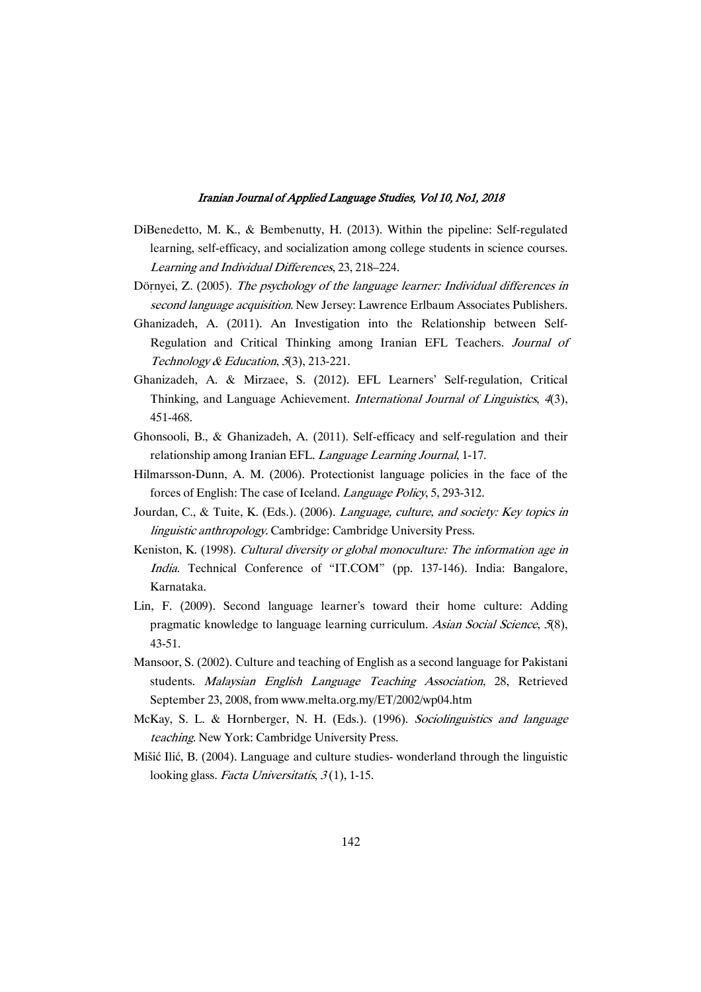- DiBenedetto, M. K., & Bembenutty, H. (2013). Within the pipeline: Self-regulated learning, self-efficacy, and socialization among college students in science courses. Learning and Individual Differences, 23, 218–224.
- Dörnyei, Z. (2005). The psychology of the language learner: Individual differences in second language acquisition. New Jersey: Lawrence Erlbaum Associates Publishers.
- Ghanizadeh, A. (2011). An Investigation into the Relationship between Self-Regulation and Critical Thinking among Iranian EFL Teachers. Journal of Technology & Education, 5(3), 213-221.
- Ghanizadeh, A. & Mirzaee, S. (2012). EFL Learners' Self-regulation, Critical Thinking, and Language Achievement. International Journal of Linguistics, <sup>4</sup>(3), 451-468.
- Ghonsooli, B., & Ghanizadeh, A. (2011). Self-efficacy and self-regulation and their relationship among Iranian EFL. Language Learning Journal, 1-17.
- Hilmarsson-Dunn, A. M. (2006). Protectionist language policies in the face of the forces of English: The case of Iceland. Language Policy, 5, 293-312.
- Jourdan, C., & Tuite, K. (Eds.). (2006). *Language, culture, and society: Key topics in* linguistic anthropology. Cambridge: Cambridge University Press.
- Keniston, K. (1998). Cultural diversity or global monoculture: The information age in India. Technical Conference of "IT.COM" (pp. 137-146). India: Bangalore, Karnataka.
- Lin, F. (2009). Second language learner's toward their home culture: Adding pragmatic knowledge to language learning curriculum. Asian Social Science, <sup>5</sup>(8), 43-51.
- Mansoor, S. (2002). Culture and teaching of English as a second language for Pakistani students. Malaysian English Language Teaching Association, 28, Retrieved September 23, 2008, from www.melta.org.my/ET/2002/wp04.htm
- McKay, S. L. & Hornberger, N. H. (Eds.). (1996). Sociolinguistics and language teaching. New York: Cambridge University Press.
- Mišić Ilić, B. (2004). Language and culture studies- wonderland through the linguistic looking glass. Facta Universitatis,  $3(1)$ , 1-15.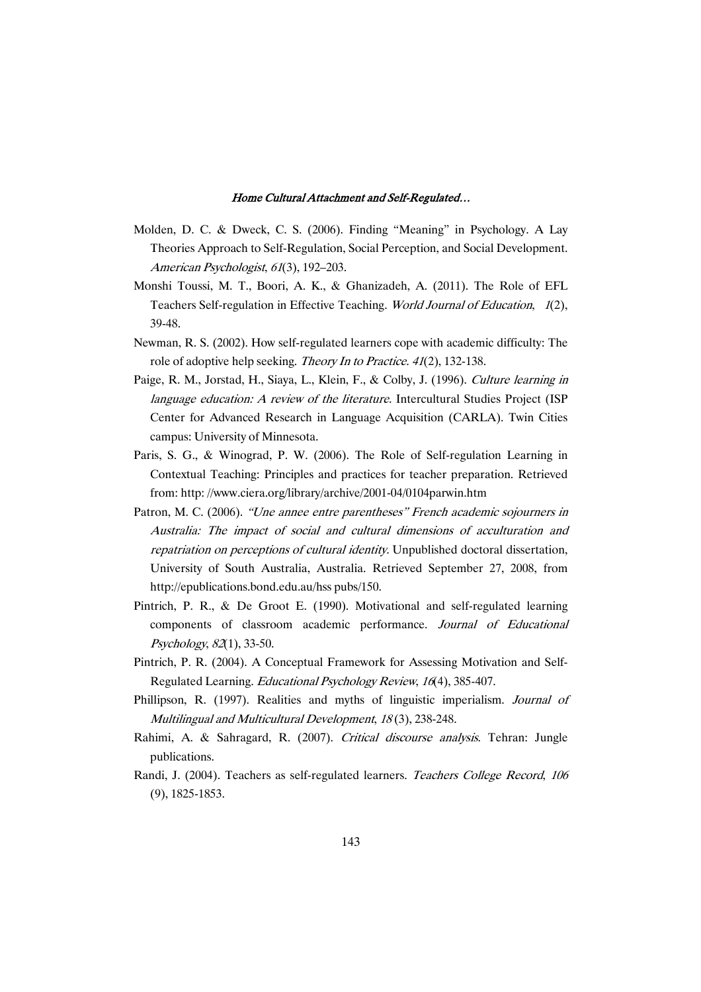- Molden, D. C. & Dweck, C. S. (2006). Finding "Meaning" in Psychology. A Lay Theories Approach to Self-Regulation, Social Perception, and Social Development. American Psychologist, <sup>61</sup>(3), 192–203.
- Monshi Toussi, M. T., Boori, A. K., & Ghanizadeh, A. (2011). The Role of EFL Teachers Self-regulation in Effective Teaching. World Journal of Education, <sup>1</sup>(2), 39-48.
- Newman, R. S. (2002). How self-regulated learners cope with academic difficulty: The role of adoptive help seeking. Theory In to Practice. <sup>41</sup>(2), 132-138.
- Paige, R. M., Jorstad, H., Siaya, L., Klein, F., & Colby, J. (1996). Culture learning in language education: A review of the literature. Intercultural Studies Project (ISP Center for Advanced Research in Language Acquisition (CARLA). Twin Cities campus: University of Minnesota.
- Paris, S. G., & Winograd, P. W. (2006). The Role of Self-regulation Learning in Contextual Teaching: Principles and practices for teacher preparation. Retrieved from: http: //www.ciera.org/library/archive/2001-04/0104parwin.htm
- Patron, M. C. (2006). "Une annee entre parentheses" French academic sojourners in Australia: The impact of social and cultural dimensions of acculturation and repatriation on perceptions of cultural identity. Unpublished doctoral dissertation, University of South Australia, Australia. Retrieved September 27, 2008, from http://epublications.bond.edu.au/hss pubs/150.
- Pintrich, P. R., & De Groot E. (1990). Motivational and self-regulated learning components of classroom academic performance. Journal of Educational Psychology, <sup>82</sup>(1), 33-50.
- Pintrich, P. R. (2004). A Conceptual Framework for Assessing Motivation and Self-Regulated Learning. Educational Psychology Review, <sup>16</sup>(4), 385-407.
- Phillipson, R. (1997). Realities and myths of linguistic imperialism. Journal of Multilingual and Multicultural Development, <sup>18</sup> (3), 238-248.
- Rahimi, A. & Sahragard, R. (2007). Critical discourse analysis. Tehran: Jungle publications.
- Randi, J. (2004). Teachers as self-regulated learners. Teachers College Record, <sup>106</sup> (9), 1825-1853.